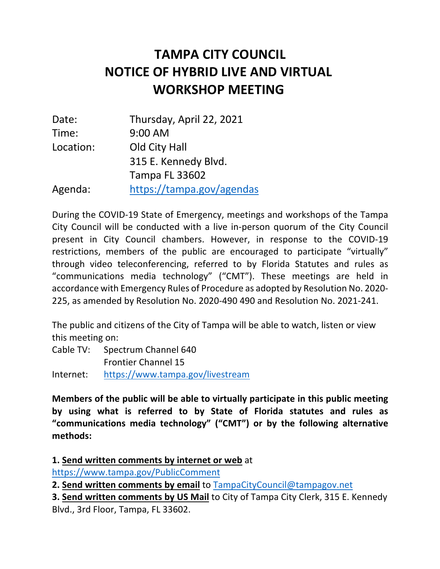## **NOTICE OF HYBRID LIVE AND VIRTUAL WORKSHOP MEETING TAMPA CITY COUNCIL**

| Date:     | Thursday, April 22, 2021  |
|-----------|---------------------------|
| Time:     | 9:00 AM                   |
| Location: | Old City Hall             |
|           | 315 E. Kennedy Blvd.      |
|           | <b>Tampa FL 33602</b>     |
| Agenda:   | https://tampa.gov/agendas |

 During the COVID-19 State of Emergency, meetings and workshops of the Tampa City Council will be conducted with a live in-person quorum of the City Council present in City Council chambers. However, in response to the COVID-19 restrictions, members of the public are encouraged to participate "virtually" through video teleconferencing, referred to by Florida Statutes and rules as "communications media technology" ("CMT"). These meetings are held in accordance with Emergency Rules of Procedure as adopted by Resolution No. 2020- 225, as amended by Resolution No. 2020-490 490 and Resolution No. 2021-241.

 The public and citizens of the City of Tampa will be able to watch, listen or view this meeting on:

 Cable TV: Spectrum Channel 640 Frontier Channel 15

Internet: https://www.tampa.gov/livestream

 **Members of the public will be able to virtually participate in this public meeting by using what is referred to by State of Florida statutes and rules as "communications media technology" ("CMT") or by the following alternative methods:** 

**1. Send written comments by internet or web** at

https://www.tampa.gov/PublicComment

 **2. Send written comments by email** to TampaCityCouncil@tampagov.net

 **3. Send written comments by US Mail** to City of Tampa City Clerk, 315 E. Kennedy Blvd., 3rd Floor, Tampa, FL 33602.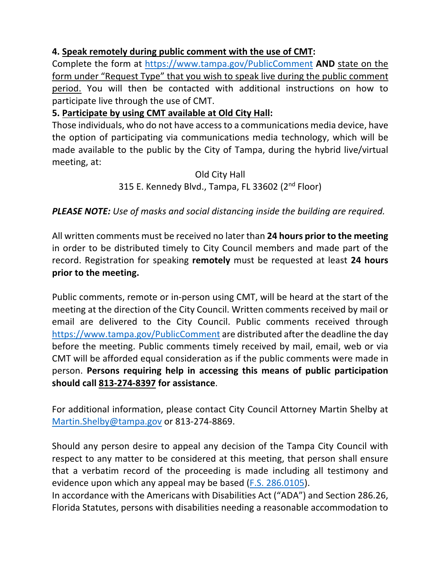## **4. Speak remotely during public comment with the use of CMT:**

 Complete the form at https://www.tampa.gov/PublicComment **AND** state on the form under "Request Type" that you wish to speak live during the public comment participate live through the use of CMT. period. You will then be contacted with additional instructions on how to

## **5. Participate by using CMT available at Old City Hall:**

 Those individuals, who do not have access to a communications media device, have the option of participating via communications media technology, which will be made available to the public by the City of Tampa, during the hybrid live/virtual meeting, at:

> Old City Hall 315 E. Kennedy Blvd., Tampa, FL 33602 (2<sup>nd</sup> Floor)

## *PLEASE NOTE: Use of masks and social distancing inside the building are required.*

 All written comments must be received no later than **24 hours prior to the meeting**  in order to be distributed timely to City Council members and made part of the record. Registration for speaking **remotely** must be requested at least **24 hours prior to the meeting.** 

 Public comments, remote or in-person using CMT, will be heard at the start of the meeting at the direction of the City Council. Written comments received by mail or email are delivered to the City Council. Public comments received through https://www.tampa.gov/PublicComment are distributed after the deadline the day before the meeting. Public comments timely received by mail, email, web or via CMT will be afforded equal consideration as if the public comments were made in  person. **Persons requiring help in accessing this means of public participation should call 813-274-8397 for assistance**.

 For additional information, please contact City Council Attorney Martin Shelby at Martin.Shelby@tampa.gov or 813-274-8869.

 Should any person desire to appeal any decision of the Tampa City Council with respect to any matter to be considered at this meeting, that person shall ensure that a verbatim record of the proceeding is made including all testimony and evidence upon which any appeal may be based (F.S. 286.0105).

 In accordance with the Americans with Disabilities Act ("ADA") and Section 286.26, Florida Statutes, persons with disabilities needing a reasonable accommodation to